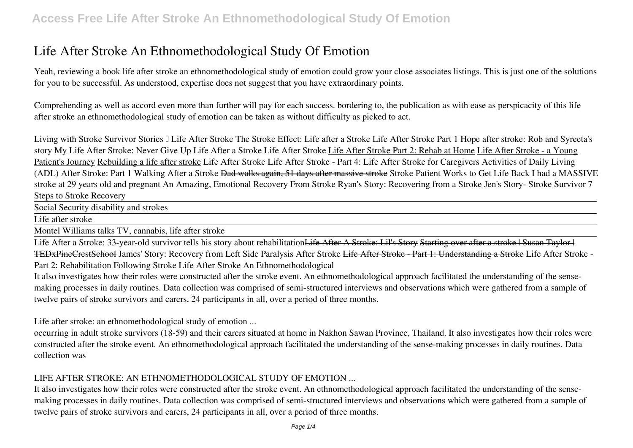# **Life After Stroke An Ethnomethodological Study Of Emotion**

Yeah, reviewing a book **life after stroke an ethnomethodological study of emotion** could grow your close associates listings. This is just one of the solutions for you to be successful. As understood, expertise does not suggest that you have extraordinary points.

Comprehending as well as accord even more than further will pay for each success. bordering to, the publication as with ease as perspicacity of this life after stroke an ethnomethodological study of emotion can be taken as without difficulty as picked to act.

Living with Stroke Survivor Stories II Life After Stroke The Stroke Effect: Life after a Stroke Life After Stroke Part 1 *Hope after stroke: Rob and Syreeta's story My Life After Stroke: Never Give Up Life After a Stroke* Life After Stroke Life After Stroke Part 2: Rehab at Home Life After Stroke - a Young Patient's Journey Rebuilding a life after stroke *Life After Stroke Life After Stroke - Part 4: Life After Stroke for Caregivers* Activities of Daily Living (ADL) After Stroke: Part 1 *Walking After a Stroke* Dad walks again, 51 days after massive stroke **Stroke Patient Works to Get Life Back** *I had a MASSIVE stroke at 29 years old and pregnant* **An Amazing, Emotional Recovery From Stroke** *Ryan's Story: Recovering from a Stroke Jen's Story- Stroke Survivor* 7 Steps to Stroke Recovery

Social Security disability and strokes

Life after stroke

Montel Williams talks TV, cannabis, life after stroke

Life After a Stroke: 33-year-old survivor tells his story about rehabilitation<del>Life After A Stroke: Lil's Story Starting over after a stroke | Susan Taylor |</del> TEDxPineCrestSchool *James' Story: Recovery from Left Side Paralysis After Stroke* Life After Stroke - Part 1: Understanding a Stroke **Life After Stroke - Part 2: Rehabilitation Following Stroke Life After Stroke An Ethnomethodological**

It also investigates how their roles were constructed after the stroke event. An ethnomethodological approach facilitated the understanding of the sensemaking processes in daily routines. Data collection was comprised of semi-structured interviews and observations which were gathered from a sample of twelve pairs of stroke survivors and carers, 24 participants in all, over a period of three months.

**Life after stroke: an ethnomethodological study of emotion ...**

occurring in adult stroke survivors (18-59) and their carers situated at home in Nakhon Sawan Province, Thailand. It also investigates how their roles were constructed after the stroke event. An ethnomethodological approach facilitated the understanding of the sense-making processes in daily routines. Data collection was

### **LIFE AFTER STROKE: AN ETHNOMETHODOLOGICAL STUDY OF EMOTION ...**

It also investigates how their roles were constructed after the stroke event. An ethnomethodological approach facilitated the understanding of the sensemaking processes in daily routines. Data collection was comprised of semi-structured interviews and observations which were gathered from a sample of twelve pairs of stroke survivors and carers, 24 participants in all, over a period of three months.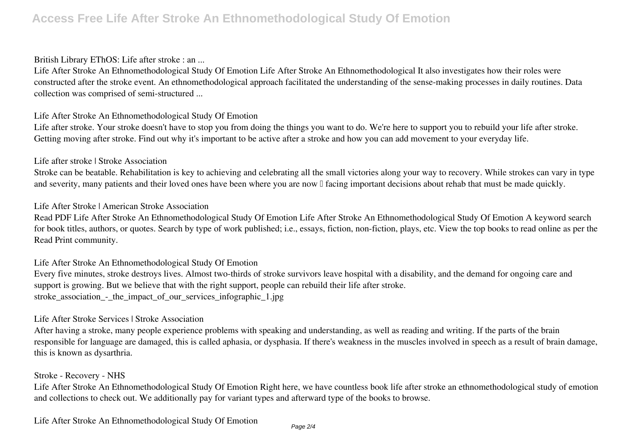### **British Library EThOS: Life after stroke : an ...**

Life After Stroke An Ethnomethodological Study Of Emotion Life After Stroke An Ethnomethodological It also investigates how their roles were constructed after the stroke event. An ethnomethodological approach facilitated the understanding of the sense-making processes in daily routines. Data collection was comprised of semi-structured ...

### **Life After Stroke An Ethnomethodological Study Of Emotion**

Life after stroke. Your stroke doesn't have to stop you from doing the things you want to do. We're here to support you to rebuild your life after stroke. Getting moving after stroke. Find out why it's important to be active after a stroke and how you can add movement to your everyday life.

### **Life after stroke | Stroke Association**

Stroke can be beatable. Rehabilitation is key to achieving and celebrating all the small victories along your way to recovery. While strokes can vary in type and severity, many patients and their loved ones have been where you are now  $\mathbb I$  facing important decisions about rehab that must be made quickly.

### **Life After Stroke | American Stroke Association**

Read PDF Life After Stroke An Ethnomethodological Study Of Emotion Life After Stroke An Ethnomethodological Study Of Emotion A keyword search for book titles, authors, or quotes. Search by type of work published; i.e., essays, fiction, non-fiction, plays, etc. View the top books to read online as per the Read Print community.

### **Life After Stroke An Ethnomethodological Study Of Emotion**

Every five minutes, stroke destroys lives. Almost two-thirds of stroke survivors leave hospital with a disability, and the demand for ongoing care and support is growing. But we believe that with the right support, people can rebuild their life after stroke. stroke association - the impact of our services infographic 1.jpg

### **Life After Stroke Services | Stroke Association**

After having a stroke, many people experience problems with speaking and understanding, as well as reading and writing. If the parts of the brain responsible for language are damaged, this is called aphasia, or dysphasia. If there's weakness in the muscles involved in speech as a result of brain damage, this is known as dysarthria.

### **Stroke - Recovery - NHS**

Life After Stroke An Ethnomethodological Study Of Emotion Right here, we have countless book life after stroke an ethnomethodological study of emotion and collections to check out. We additionally pay for variant types and afterward type of the books to browse.

**Life After Stroke An Ethnomethodological Study Of Emotion**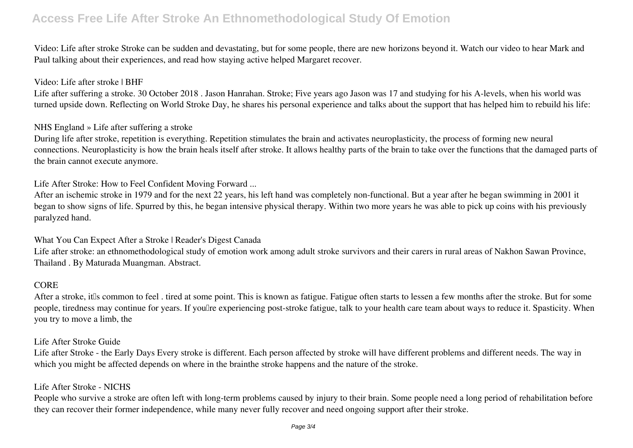## **Access Free Life After Stroke An Ethnomethodological Study Of Emotion**

Video: Life after stroke Stroke can be sudden and devastating, but for some people, there are new horizons beyond it. Watch our video to hear Mark and Paul talking about their experiences, and read how staying active helped Margaret recover.

### **Video: Life after stroke | BHF**

Life after suffering a stroke. 30 October 2018 . Jason Hanrahan. Stroke; Five years ago Jason was 17 and studying for his A-levels, when his world was turned upside down. Reflecting on World Stroke Day, he shares his personal experience and talks about the support that has helped him to rebuild his life:

### **NHS England » Life after suffering a stroke**

During life after stroke, repetition is everything. Repetition stimulates the brain and activates neuroplasticity, the process of forming new neural connections. Neuroplasticity is how the brain heals itself after stroke. It allows healthy parts of the brain to take over the functions that the damaged parts of the brain cannot execute anymore.

**Life After Stroke: How to Feel Confident Moving Forward ...**

After an ischemic stroke in 1979 and for the next 22 years, his left hand was completely non-functional. But a year after he began swimming in 2001 it began to show signs of life. Spurred by this, he began intensive physical therapy. Within two more years he was able to pick up coins with his previously paralyzed hand.

### **What You Can Expect After a Stroke | Reader's Digest Canada**

Life after stroke: an ethnomethodological study of emotion work among adult stroke survivors and their carers in rural areas of Nakhon Sawan Province, Thailand . By Maturada Muangman. Abstract.

### **CORE**

After a stroke, it<sup>n</sup>s common to feel . tired at some point. This is known as fatigue. Fatigue often starts to lessen a few months after the stroke. But for some people, tiredness may continue for years. If youllre experiencing post-stroke fatigue, talk to your health care team about ways to reduce it. Spasticity. When you try to move a limb, the

### **Life After Stroke Guide**

Life after Stroke - the Early Days Every stroke is different. Each person affected by stroke will have different problems and different needs. The way in which you might be affected depends on where in the brainthe stroke happens and the nature of the stroke.

### **Life After Stroke - NICHS**

People who survive a stroke are often left with long-term problems caused by injury to their brain. Some people need a long period of rehabilitation before they can recover their former independence, while many never fully recover and need ongoing support after their stroke.